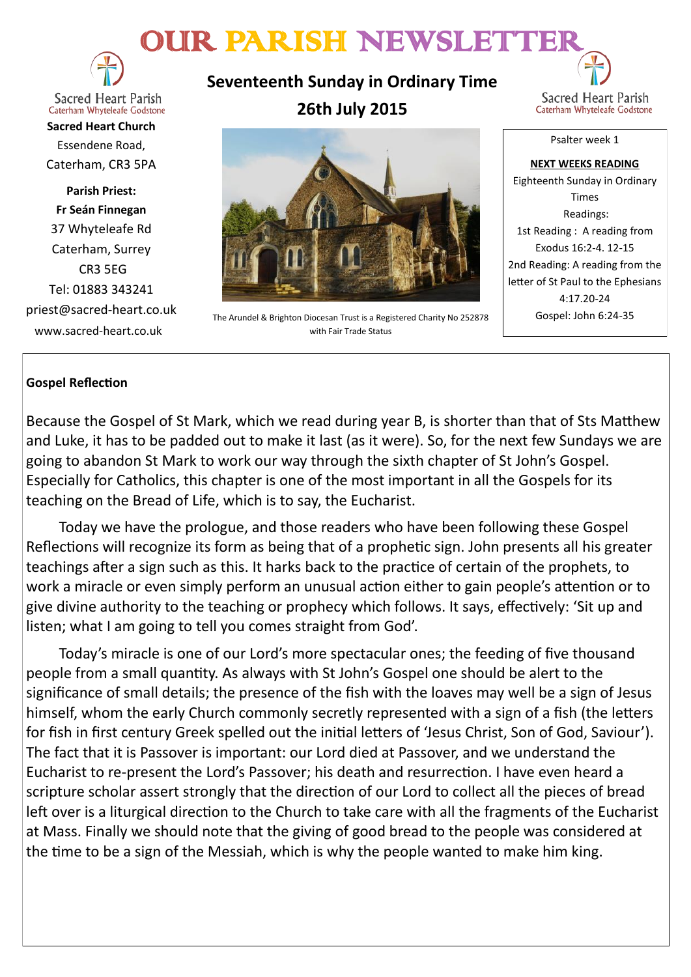# OUR PARISH NEWSLETTER



**Sacred Heart Parish** Caterham Whyteleafe Godstone

**Sacred Heart Church** Essendene Road, Caterham, CR3 5PA

**Parish Priest: Fr Seán Finnegan** 37 Whyteleafe Rd Caterham, Surrey CR3 5EG Tel: 01883 343241 priest@sacred-heart.co.uk www.sacred-heart.co.uk

**Seventeenth Sunday in Ordinary Time 26th July 2015**



Psalter week 1

The Arundel & Brighton Diocesan Trust is a Registered Charity No 252878 with Fair Trade Status

**NEXT WEEKS READING** Eighteenth Sunday in Ordinary Times Readings: 1st Reading : A reading from Exodus 16:2-4. 12-15 2nd Reading: A reading from the letter of St Paul to the Ephesians 4:17.20-24 Gospel: John 6:24-35

# **Gospel Reflection**

Because the Gospel of St Mark, which we read during year B, is shorter than that of Sts Matthew and Luke, it has to be padded out to make it last (as it were). So, for the next few Sundays we are going to abandon St Mark to work our way through the sixth chapter of St John's Gospel. Especially for Catholics, this chapter is one of the most important in all the Gospels for its teaching on the Bread of Life, which is to say, the Eucharist.

Today we have the prologue, and those readers who have been following these Gospel Reflections will recognize its form as being that of a prophetic sign. John presents all his greater teachings after a sign such as this. It harks back to the practice of certain of the prophets, to work a miracle or even simply perform an unusual action either to gain people's attention or to give divine authority to the teaching or prophecy which follows. It says, effectively: 'Sit up and listen; what I am going to tell you comes straight from God'.

Today's miracle is one of our Lord's more spectacular ones; the feeding of five thousand people from a small quantity. As always with St John's Gospel one should be alert to the significance of small details; the presence of the fish with the loaves may well be a sign of Jesus himself, whom the early Church commonly secretly represented with a sign of a fish (the letters for fish in first century Greek spelled out the initial letters of 'Jesus Christ, Son of God, Saviour'). The fact that it is Passover is important: our Lord died at Passover, and we understand the Eucharist to re-present the Lord's Passover; his death and resurrection. I have even heard a scripture scholar assert strongly that the direction of our Lord to collect all the pieces of bread left over is a liturgical direction to the Church to take care with all the fragments of the Eucharist at Mass. Finally we should note that the giving of good bread to the people was considered at the time to be a sign of the Messiah, which is why the people wanted to make him king.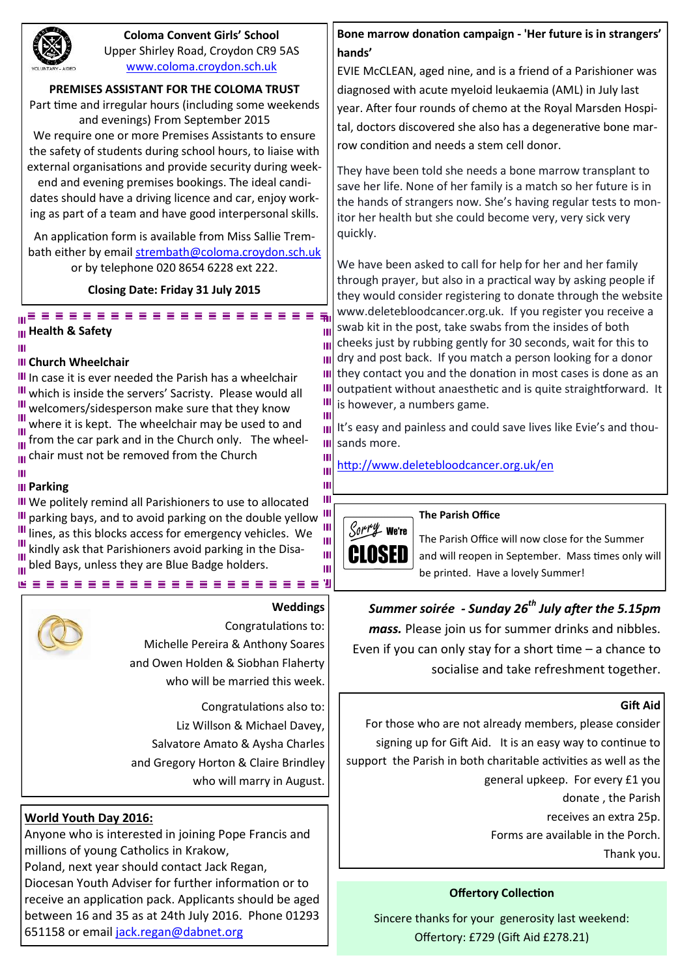

## **Coloma Convent Girls' School** Upper Shirley Road, Croydon CR9 5AS [www.coloma.croydon.sch.uk](http://www.coloma.croydon.sch.uk/)

**PREMISES ASSISTANT FOR THE COLOMA TRUST**

Part time and irregular hours (including some weekends and evenings) From September 2015 We require one or more Premises Assistants to ensure

the safety of students during school hours, to liaise with external organisations and provide security during week-

end and evening premises bookings. The ideal candidates should have a driving licence and car, enjoy working as part of a team and have good interpersonal skills.

An application form is available from Miss Sallie Trembath either by email [strembath@coloma.croydon.sch.uk](mailto:strembath@coloma.croydon.sch.uk) or by telephone 020 8654 6228 ext 222.

**Closing Date: Friday 31 July 2015** 

#### ...................... **Health & Safety**

ш

## **III Church Wheelchair**

In case it is ever needed the Parish has a wheelchair III which is inside the servers' Sacristy. Please would all  $\frac{1}{2}$  welcomers/sidesperson make sure that they know  $\frac{m}{m}$  where it is kept. The wheelchair may be used to and  $\frac{1}{10}$  from the car park and in the Church only. The wheel-III chair must not be removed from the Church

#### Ш **III** Parking

**III** We politely remind all Parishioners to use to allocated III parking bays, and to avoid parking on the double yellow  $\frac{111}{10}$ III lines, as this blocks access for emergency vehicles. We III kindly ask that Parishioners avoid parking in the Disabled Bays, unless they are Blue Badge holders.



# **Weddings**

Ш

Ш  $\mathbf{m}$  $\mathbf{m}$ Ш Ш Ш Ш Ш Ш

Ш Ш

Ш Ш Ш Ш

Congratulations to: Michelle Pereira & Anthony Soares and Owen Holden & Siobhan Flaherty who will be married this week.

Congratulations also to: Liz Willson & Michael Davey, Salvatore Amato & Aysha Charles and Gregory Horton & Claire Brindley who will marry in August.

# **World Youth Day 2016:**

Anyone who is interested in joining Pope Francis and millions of young Catholics in Krakow, Poland, next year should contact Jack Regan, Diocesan Youth Adviser for further information or to receive an application pack. Applicants should be aged between 16 and 35 as at 24th July 2016. Phone 01293 651158 or email [jack.regan@dabnet.org](mailto:jack.regan@dabnet.org)

**Bone marrow donation campaign - 'Her future is in strangers' hands'**

EVIE McCLEAN, aged nine, and is a friend of a Parishioner was diagnosed with acute myeloid leukaemia (AML) in July last year. After four rounds of chemo at the Royal Marsden Hospital, doctors discovered she also has a degenerative bone marrow condition and needs a stem cell donor.

They have been told she needs a bone marrow transplant to save her life. None of her family is a match so her future is in the hands of strangers now. She's having regular tests to monitor her health but she could become very, very sick very quickly.

We have been asked to call for help for her and her family through prayer, but also in a practical way by asking people if they would consider registering to donate through the website www.deletebloodcancer.org.uk. If you register you receive a swab kit in the post, take swabs from the insides of both cheeks just by rubbing gently for 30 seconds, wait for this to dry and post back. If you match a person looking for a donor they contact you and the donation in most cases is done as an outpatient without anaesthetic and is quite straightforward. It is however, a numbers game.

It's easy and painless and could save lives like Evie's and thousands more.

<http://www.deletebloodcancer.org.uk/en>

## **The Parish Office**



The Parish Office will now close for the Summer and will reopen in September. Mass times only will be printed. Have a lovely Summer!

# *Summer soirée - Sunday 26th July after the 5.15pm*

*mass.* Please join us for summer drinks and nibbles. Even if you can only stay for a short time  $-$  a chance to socialise and take refreshment together.

## **Gift Aid**

For those who are not already members, please consider signing up for Gift Aid. It is an easy way to continue to support the Parish in both charitable activities as well as the general upkeep. For every £1 you donate , the Parish receives an extra 25p. Forms are available in the Porch. Thank you.

# **Offertory Collection**

Sincere thanks for your generosity last weekend: Offertory: £729 (Gift Aid £278.21)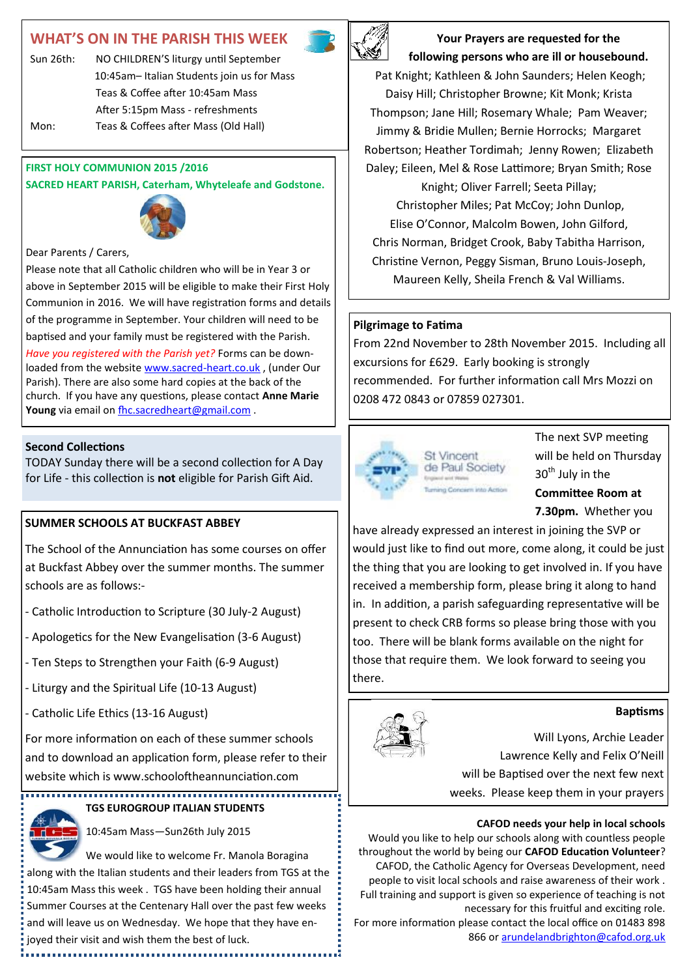# **WHAT'S ON IN THE PARISH THIS WEEK**



**Your Prayers are requested for the following persons who are ill or housebound.** 

Pat Knight; Kathleen & John Saunders; Helen Keogh; Daisy Hill; Christopher Browne; Kit Monk; Krista Thompson; Jane Hill; Rosemary Whale; Pam Weaver; Jimmy & Bridie Mullen; Bernie Horrocks; Margaret Robertson; Heather Tordimah; Jenny Rowen; Elizabeth Daley; Eileen, Mel & Rose Lattimore; Bryan Smith; Rose Knight; Oliver Farrell; Seeta Pillay; Christopher Miles; Pat McCoy; John Dunlop, Elise O'Connor, Malcolm Bowen, John Gilford, Chris Norman, Bridget Crook, Baby Tabitha Harrison, Christine Vernon, Peggy Sisman, Bruno Louis-Joseph, Maureen Kelly, Sheila French & Val Williams.

## **Pilgrimage to Fatima**

From 22nd November to 28th November 2015. Including all excursions for £629. Early booking is strongly recommended. For further information call Mrs Mozzi on 0208 472 0843 or 07859 027301.



The next SVP meeting will be held on Thursday 30<sup>th</sup> July in the **Committee Room at 7.30pm.** Whether you

have already expressed an interest in joining the SVP or would just like to find out more, come along, it could be just the thing that you are looking to get involved in. If you have received a membership form, please bring it along to hand in. In addition, a parish safeguarding representative will be present to check CRB forms so please bring those with you too. There will be blank forms available on the night for those that require them. We look forward to seeing you there.

#### **Baptisms**

Will Lyons, Archie Leader Lawrence Kelly and Felix O'Neill will be Baptised over the next few next weeks. Please keep them in your prayers

#### **CAFOD needs your help in local schools**

Would you like to help our schools along with countless people throughout the world by being our **CAFOD Education Volunteer**? CAFOD, the Catholic Agency for Overseas Development, need people to visit local schools and raise awareness of their work . Full training and support is given so experience of teaching is not necessary for this fruitful and exciting role.

For more information please contact the local office on 01483 898 866 or [arundelandbrighton@cafod.org.uk](mailto:arundelandbrighton@cafod.org.uk)

Sun 26th: NO CHILDREN'S liturgy until September 10:45am– Italian Students join us for Mass Teas & Coffee after 10:45am Mass After 5:15pm Mass - refreshments Mon: Teas & Coffees after Mass (Old Hall)

#### **FIRST HOLY COMMUNION 2015 /2016**

**SACRED HEART PARISH, Caterham, Whyteleafe and Godstone.**



Dear Parents / Carers,

Please note that all Catholic children who will be in Year 3 or above in September 2015 will be eligible to make their First Holy Communion in 2016. We will have registration forms and details of the programme in September. Your children will need to be baptised and your family must be registered with the Parish.

*Have you registered with the Parish yet?* Forms can be downloaded from the website [www.sacred](http://www.sacred-heart.co.uk)-heart.co.uk , (under Our Parish). There are also some hard copies at the back of the church. If you have any questions, please contact **Anne Marie**  Young via email on **[fhc.sacredheart@gmail.com](mailto:fhc.sacredheart@gmail.com)** .

#### **Second Collections**

TODAY Sunday there will be a second collection for A Day for Life - this collection is **not** eligible for Parish Gift Aid.

## **SUMMER SCHOOLS AT BUCKFAST ABBEY**

The School of the Annunciation has some courses on offer at Buckfast Abbey over the summer months. The summer schools are as follows:-

- Catholic Introduction to Scripture (30 July-2 August)
- Apologetics for the New Evangelisation (3-6 August)
- Ten Steps to Strengthen your Faith (6-9 August)
- Liturgy and the Spiritual Life (10-13 August)
- Catholic Life Ethics (13-16 August)

For more information on each of these summer schools and to download an application form, please refer to their website which is www.schooloftheannunciation.com

#### **TGS EUROGROUP ITALIAN STUDENTS**



10:45am Mass—Sun26th July 2015

We would like to welcome Fr. Manola Boragina along with the Italian students and their leaders from TGS at the 10:45am Mass this week . TGS have been holding their annual Summer Courses at the Centenary Hall over the past few weeks and will leave us on Wednesday. We hope that they have enjoyed their visit and wish them the best of luck.